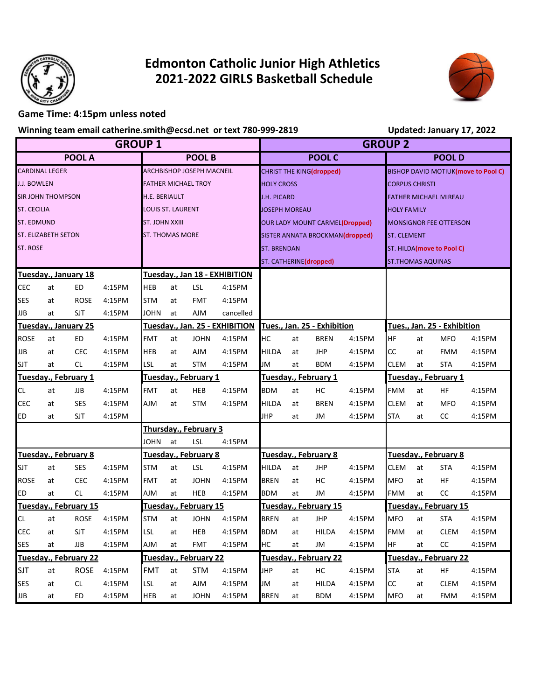

## **Edmonton Catholic Junior High Athletics 2021-2022 GIRLS Basketball Schedule**



## **Game Time: 4:15pm unless noted**

**Winning team email catherine.smith@ecsd.net or text 780-999-2819**

|                    |                       |                              |        |                                  |                        |                       | Winning team email catherine.smith@ecsd.net or text 780-999-2819 | Updated: January 17, 2022 |                                       |                       |                                     |                              |                       |                    |        |  |  |
|--------------------|-----------------------|------------------------------|--------|----------------------------------|------------------------|-----------------------|------------------------------------------------------------------|---------------------------|---------------------------------------|-----------------------|-------------------------------------|------------------------------|-----------------------|--------------------|--------|--|--|
| <b>GROUP 1</b>     |                       |                              |        |                                  |                        |                       |                                                                  |                           | <b>GROUP 2</b>                        |                       |                                     |                              |                       |                    |        |  |  |
|                    |                       | <b>POOL A</b>                |        | <b>POOL B</b>                    |                        |                       | <b>POOL C</b>                                                    |                           |                                       |                       | <b>POOLD</b>                        |                              |                       |                    |        |  |  |
|                    | <b>CARDINAL LEGER</b> |                              |        | <b>ARCHBISHOP JOSEPH MACNEIL</b> |                        |                       |                                                                  |                           | CHRIST THE KING(dropped)              |                       | BISHOP DAVID MOTIUK(move to Pool C) |                              |                       |                    |        |  |  |
| <b>J.J. BOWLEN</b> |                       |                              |        | <b>FATHER MICHAEL TROY</b>       |                        |                       |                                                                  | <b>HOLY CROSS</b>         |                                       |                       | <b>CORPUS CHRISTI</b>               |                              |                       |                    |        |  |  |
|                    | SIR JOHN THOMPSON     |                              |        | <b>H.E. BERIAULT</b>             |                        |                       |                                                                  | <b>J.H. PICARD</b>        |                                       |                       |                                     | <b>FATHER MICHAEL MIREAU</b> |                       |                    |        |  |  |
| <b>ST. CECILIA</b> |                       |                              |        | <b>LOUIS ST. LAURENT</b>         |                        |                       |                                                                  | <b>JOSEPH MOREAU</b>      |                                       |                       | <b>HOLY FAMILY</b>                  |                              |                       |                    |        |  |  |
| <b>ST. EDMUND</b>  |                       |                              |        | <b>ST. JOHN XXIII</b>            |                        |                       |                                                                  |                           | <b>OUR LADY MOUNT CARMEL(Dropped)</b> |                       | <b>MONSIGNOR FEE OTTERSON</b>       |                              |                       |                    |        |  |  |
|                    | ST. ELIZABETH SETON   |                              |        |                                  | <b>ST. THOMAS MORE</b> |                       |                                                                  |                           | SISTER ANNATA BROCKMAN(dropped)       |                       |                                     |                              |                       | <b>ST. CLEMENT</b> |        |  |  |
| ST. ROSE           |                       |                              |        |                                  |                        |                       |                                                                  | <b>ST. BRENDAN</b>        |                                       |                       | ST. HILDA(move to Pool C)           |                              |                       |                    |        |  |  |
|                    |                       |                              |        |                                  |                        |                       |                                                                  | ST. CATHERINE(dropped)    |                                       |                       | <b>ST.THOMAS AQUINAS</b>            |                              |                       |                    |        |  |  |
|                    |                       | Tuesday., January 18         |        |                                  |                        |                       | Tuesday., Jan 18 - EXHIBITION                                    |                           |                                       |                       |                                     |                              |                       |                    |        |  |  |
| CEC                | at                    | <b>ED</b>                    | 4:15PM | <b>HEB</b>                       | at                     | LSL                   | 4:15PM                                                           |                           |                                       |                       |                                     |                              |                       |                    |        |  |  |
| SES                | at                    | <b>ROSE</b>                  | 4:15PM | <b>STM</b>                       | at                     | FMT                   | 4:15PM                                                           |                           |                                       |                       |                                     |                              |                       |                    |        |  |  |
| JJB                | at                    | SJT                          | 4:15PM | JOHN                             | at                     | <b>AJM</b>            | cancelled                                                        |                           |                                       |                       |                                     |                              |                       |                    |        |  |  |
|                    |                       | Tuesday., January 25         |        |                                  |                        |                       | Tuesday., Jan. 25 - EXHIBITION                                   |                           | Tues., Jan. 25 - Exhibition           |                       | Tues., Jan. 25 - Exhibition         |                              |                       |                    |        |  |  |
| <b>ROSE</b>        | at                    | ED                           | 4:15PM | FMT                              | at                     | <b>JOHN</b>           | 4:15PM                                                           | HС                        | at                                    | <b>BREN</b>           | 4:15PM                              | <b>HF</b>                    | at                    | <b>MFO</b>         | 4:15PM |  |  |
| <b>JJB</b>         | at                    | <b>CEC</b>                   | 4:15PM | HEB                              | at                     | <b>AJM</b>            | 4:15PM                                                           | <b>HILDA</b>              | at                                    | <b>JHP</b>            | 4:15PM                              | <b>CC</b>                    | at                    | <b>FMM</b>         | 4:15PM |  |  |
| <b>SJT</b>         | at                    | CL.                          | 4:15PM | <b>LSL</b>                       | at                     | <b>STM</b>            | 4:15PM                                                           | <b>JM</b>                 | at                                    | <b>BDM</b>            | 4:15PM                              | <b>CLEM</b>                  | at                    | <b>STA</b>         | 4:15PM |  |  |
|                    |                       | Tuesday., February 1         |        |                                  |                        | Tuesday., February 1  |                                                                  |                           | Tuesday., February 1                  |                       | Tuesday., February 1                |                              |                       |                    |        |  |  |
| CL                 | at                    | JJB                          | 4:15PM | <b>FMT</b>                       | at                     | HEB                   | 4:15PM                                                           | <b>BDM</b>                | at                                    | HC                    | 4:15PM                              | <b>FMM</b>                   | at                    | ΗF                 | 4:15PM |  |  |
| CEC                | at                    | <b>SES</b>                   | 4:15PM | <b>AJM</b>                       | at                     | <b>STM</b>            | 4:15PM                                                           | HILDA                     | at                                    | <b>BREN</b>           | 4:15PM                              | <b>CLEM</b>                  | at                    | <b>MFO</b>         | 4:15PM |  |  |
| ED                 | at                    | SJT                          | 4:15PM |                                  |                        |                       |                                                                  | <b>JHP</b>                | at                                    | JM                    | 4:15PM                              | <b>STA</b>                   | at                    | CC                 | 4:15PM |  |  |
|                    |                       |                              |        |                                  |                        | Thursday., February 3 |                                                                  |                           |                                       |                       |                                     |                              |                       |                    |        |  |  |
|                    |                       |                              |        | <b>JOHN</b>                      | at                     | LSL                   | 4:15PM                                                           |                           |                                       |                       |                                     |                              |                       |                    |        |  |  |
|                    |                       | Tuesday., February 8         |        |                                  | Tuesday., February 8   |                       |                                                                  | Tuesday., February 8      |                                       |                       | Tuesday., February 8                |                              |                       |                    |        |  |  |
| <b>SJT</b>         | at                    | <b>SES</b>                   | 4:15PM | <b>STM</b>                       | at                     | LSL                   | 4:15PM                                                           | <b>HILDA</b>              | at                                    | <b>JHP</b>            | 4:15PM                              | <b>CLEM</b>                  | at                    | <b>STA</b>         | 4:15PM |  |  |
| <b>ROSE</b>        | at                    | <b>CEC</b>                   | 4:15PM | FMT                              | at                     | <b>JOHN</b>           | 4:15PM                                                           | <b>BREN</b>               | at                                    | НC                    | 4:15PM                              | <b>MFO</b>                   | at                    | HF                 | 4:15PM |  |  |
| ED                 | at                    | CL.                          | 4:15PM | <b>AJM</b>                       | at                     | HEB                   | 4:15PM                                                           | BDM                       | at                                    | JM                    | 4:15PM                              | <b>FMM</b>                   | at                    | CC                 | 4:15PM |  |  |
|                    |                       | Tuesday., February 15        |        | Tuesday., February 15            |                        |                       |                                                                  |                           | Tuesday., February 15                 |                       | Tuesday., February 15               |                              |                       |                    |        |  |  |
| CL                 | at                    | ROSE                         | 4:15PM | <b>STM</b>                       | at                     | <b>JOHN</b>           | 4:15PM                                                           | <b>BREN</b>               | at                                    | JHP                   | 4:15PM                              | <b>MFO</b>                   | at                    | <b>STA</b>         | 4:15PM |  |  |
| CEC                | at                    | SJT                          | 4:15PM | LSL                              | at                     | HEB                   | 4:15PM                                                           | <b>BDM</b>                | at                                    | HILDA                 | 4:15PM                              | <b>FMM</b>                   | at                    | CLEM               | 4:15PM |  |  |
| SES                | at                    | JJB                          | 4:15PM | <b>AJM</b>                       | at                     | <b>FMT</b>            | 4:15PM                                                           | HC                        | at                                    | JM                    | 4:15PM                              | HF.                          | at                    | cc                 | 4:15PM |  |  |
|                    |                       | <b>Tuesday., February 22</b> |        |                                  |                        | Tuesday., February 22 |                                                                  |                           |                                       | Tuesday., February 22 |                                     |                              | Tuesday., February 22 |                    |        |  |  |
| <b>SJT</b>         | at                    | <b>ROSE</b>                  | 4:15PM | FMT                              | at                     | <b>STM</b>            | 4:15PM                                                           | <b>JHP</b>                | at                                    | HC                    | 4:15PM                              | <b>STA</b>                   | at                    | HF                 | 4:15PM |  |  |
| SES                | at                    | CL.                          | 4:15PM | <b>LSL</b>                       | at                     | <b>AJM</b>            | $4:15\mathrm{PM}$                                                | JM                        | at                                    | <b>HILDA</b>          | 4:15PM                              | CC                           | at                    | <b>CLEM</b>        | 4:15PM |  |  |
| JJB                | at                    | <b>ED</b>                    | 4:15PM | HEB                              | at                     | <b>JOHN</b>           | 4:15PM                                                           | <b>BREN</b>               | at                                    | <b>BDM</b>            | 4:15PM                              | <b>MFO</b>                   | at                    | FMM                | 4:15PM |  |  |